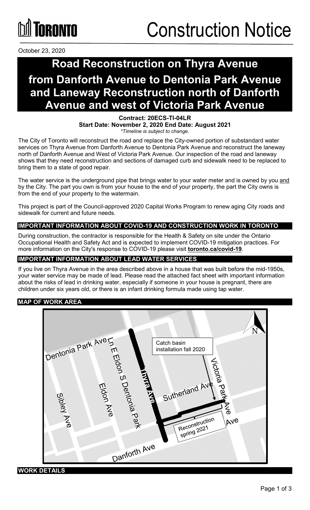# **GRANTA**

October 23, 2020

# **Road Reconstruction on Thyra Avenue from Danforth Avenue to Dentonia Park Avenue and Laneway Reconstruction north of Danforth Avenue and west of Victoria Park Avenue**

### **Contract: 20ECS-TI-04LR**

**Start Date: November 2, 2020 End Date: August 2021** *\*Timeline is subject to change.*

The City of Toronto will reconstruct the road and replace the City-owned portion of substandard water services on Thyra Avenue from Danforth Avenue to Dentonia Park Avenue and reconstruct the laneway north of Danforth Avenue and West of Victoria Park Avenue. Our inspection of the road and laneway shows that they need reconstruction and sections of damaged curb and sidewalk need to be replaced to bring them to a state of good repair.

The water service is the underground pipe that brings water to your water meter and is owned by you and by the City. The part you own is from your house to the end of your property, the part the City owns is from the end of your property to the watermain.

This project is part of the Council-approved 2020 Capital Works Program to renew aging City roads and sidewalk for current and future needs.

### **IMPORTANT INFORMATION ABOUT COVID-19 AND CONSTRUCTION WORK IN TORONTO**

During construction, the contractor is responsible for the Health & Safety on site under the Ontario Occupational Health and Safety Act and is expected to implement COVID-19 mitigation practices. For more information on the City's response to COVID-19 please visit **[toronto.ca/covid-19](http://www.toronto.ca/covid-19)**.

### **IMPORTANT INFORMATION ABOUT LEAD WATER SERVICES**

If you live on Thyra Avenue in the area described above in a house that was built before the mid-1950s, your water service may be made of lead. Please read the attached fact sheet with important information about the risks of lead in drinking water, especially if someone in your house is pregnant, there are children under six years old, or there is an infant drinking formula made using tap water.

#### **MAP OF WORK AREA**



### **WORK DETAILS**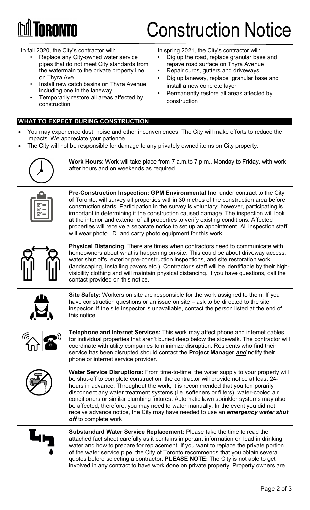

# Construction Notice

In fall 2020, the City's contractor will:

- Replace any City-owned water service pipes that do not meet City standards from the watermain to the private property line on Thyra Ave
- Install new catch basins on Thyra Avenue including one in the laneway
- Temporarily restore all areas affected by construction

#### **WHAT TO EXPECT DURING CONSTRUCTION**

In spring 2021, the City's contractor will:

- Dig up the road, replace granular base and repave road surface on Thyra Avenue
- Repair curbs, gutters and driveways
- Dig up laneway, replace granular base and install a new concrete layer
- Permanently restore all areas affected by construction
- You may experience dust, noise and other inconveniences. The City will make efforts to reduce the impacts. We appreciate your patience.
- The City will not be responsible for damage to any privately owned items on City property.

| <b>Work Hours:</b> Work will take place from 7 a.m.to 7 p.m., Monday to Friday, with work<br>after hours and on weekends as required.                                                                                                                                                                                                                                                                                                                                                                                                                                                                                                          |  |
|------------------------------------------------------------------------------------------------------------------------------------------------------------------------------------------------------------------------------------------------------------------------------------------------------------------------------------------------------------------------------------------------------------------------------------------------------------------------------------------------------------------------------------------------------------------------------------------------------------------------------------------------|--|
| Pre-Construction Inspection: GPM Environmental Inc, under contract to the City<br>of Toronto, will survey all properties within 30 metres of the construction area before<br>construction starts. Participation in the survey is voluntary; however, participating is<br>important in determining if the construction caused damage. The inspection will look<br>at the interior and exterior of all properties to verify existing conditions. Affected<br>properties will receive a separate notice to set up an appointment. All inspection staff<br>will wear photo I.D. and carry photo equipment for this work.                           |  |
| <b>Physical Distancing:</b> There are times when contractors need to communicate with<br>homeowners about what is happening on-site. This could be about driveway access,<br>water shut offs, exterior pre-construction inspections, and site restoration work<br>(landscaping, installing pavers etc.). Contractor's staff will be identifiable by their high-<br>visibility clothing and will maintain physical distancing. If you have questions, call the<br>contact provided on this notice.                                                                                                                                              |  |
| Site Safety: Workers on site are responsible for the work assigned to them. If you<br>have construction questions or an issue on site $-$ ask to be directed to the site<br>inspector. If the site inspector is unavailable, contact the person listed at the end of<br>this notice.                                                                                                                                                                                                                                                                                                                                                           |  |
| Telephone and Internet Services: This work may affect phone and internet cables<br>for individual properties that aren't buried deep below the sidewalk. The contractor will<br>coordinate with utility companies to minimize disruption. Residents who find their<br>service has been disrupted should contact the Project Manager and notify their<br>phone or internet service provider.                                                                                                                                                                                                                                                    |  |
| Water Service Disruptions: From time-to-time, the water supply to your property will<br>be shut-off to complete construction; the contractor will provide notice at least 24-<br>hours in advance. Throughout the work, it is recommended that you temporarily<br>disconnect any water treatment systems (i.e. softeners or filters), water-cooled air<br>conditioners or similar plumbing fixtures. Automatic lawn sprinkler systems may also<br>be affected, therefore, you may need to water manually. In the event you did not<br>receive advance notice, the City may have needed to use an emergency water shut<br>off to complete work. |  |
| <b>Substandard Water Service Replacement:</b> Please take the time to read the<br>attached fact sheet carefully as it contains important information on lead in drinking<br>water and how to prepare for replacement. If you want to replace the private portion<br>of the water service pipe, the City of Toronto recommends that you obtain several<br>quotes before selecting a contractor. PLEASE NOTE: The City is not able to get<br>involved in any contract to have work done on private property. Property owners are                                                                                                                 |  |